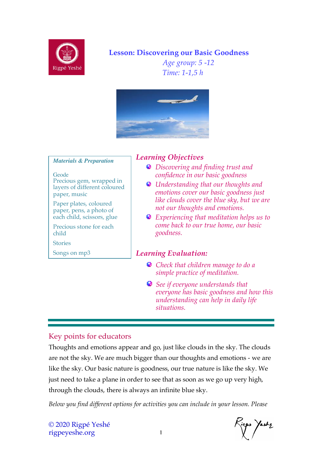

## **Lesson: Discovering our Basic Goodness**

*Age group: 5 -12 Time: 1-1,5 h*



#### *Materials & Preparation*

**Geode** Precious gem, wrapped in layers of different coloured paper, music

Paper plates, coloured paper, pens, a photo of each child, scissors, glue

Precious stone for each child

Stories

Songs on mp3

#### *Learning Objectives*

- *Discovering and finding trust and confidence in our basic goodness*
- *Understanding that our thoughts and emotions cover our basic goodness just like clouds cover the blue sky, but we are not our thoughts and emotions.*
- *Experiencing that meditation helps us to come back to our true home, our basic goodness.*

#### *Learning Evaluation:*

- *Check that children manage to do a simple practice of meditation.*
- *See if everyone understands that everyone has basic goodness and how this understanding can help in daily life situations.*

### Key points for educators

Thoughts and emotions appear and go, just like clouds in the sky. The clouds are not the sky. We are much bigger than our thoughts and emotions - we are like the sky. Our basic nature is goodness, our true nature is like the sky. We just need to take a plane in order to see that as soon as we go up very high, through the clouds, there is always an infinite blue sky.

*Below you find different options for activities you can include in your lesson. Please* 

so Yeshz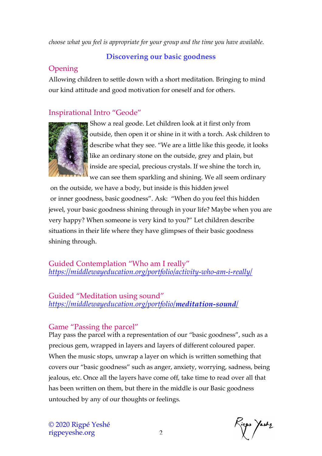*choose what you feel is appropriate for your group and the time you have available.* 

#### **Discovering our basic goodness**

# **Opening**

Allowing children to settle down with a short meditation. Bringing to mind our kind attitude and good motivation for oneself and for others.

## Inspirational Intro "Geode"



Show a real geode. Let children look at it first only from outside, then open it or shine in it with a torch. Ask children to describe what they see. "We are a little like this geode, it looks like an ordinary stone on the outside, grey and plain, but inside are special, precious crystals. If we shine the torch in, we can see them sparkling and shining. We all seem ordinary

on the outside, we have a body, but inside is this hidden jewel or inner goodness, basic goodness". Ask: "When do you feel this hidden jewel, your basic goodness shining through in your life? Maybe when you are very happy? When someone is very kind to you?" Let children describe situations in their life where they have glimpses of their basic goodness shining through.

Guided Contemplation "Who am I really" *https://middlewayeducation.org/portfolio/activity-who-am-i-really/*

Guided "Meditation using sound" *https://middlewayeducation.org/portfolio/meditation-sound/*

## Game "Passing the parcel"

Play pass the parcel with a representation of our "basic goodness", such as a precious gem, wrapped in layers and layers of different coloured paper. When the music stops, unwrap a layer on which is written something that covers our "basic goodness" such as anger, anxiety, worrying, sadness, being jealous, etc. Once all the layers have come off, take time to read over all that has been written on them, but there in the middle is our Basic goodness untouched by any of our thoughts or feelings.

ops Yeshz<br>1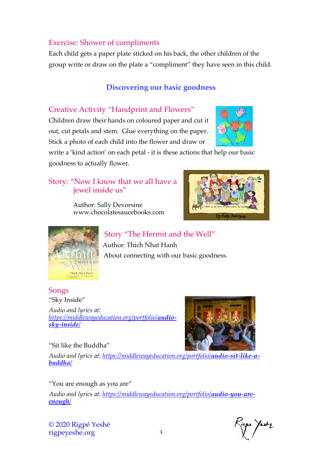#### Exercise: Shower of compliments

Each child gets a paper plate sticked on his back, the other children of the group write or draw on the plate a "compliment" they have seen in this child.

#### **Discovering our basic goodness**

#### Creative Activity "Handprint and Flowers"

Children draw their hands on coloured paper and cut it out, cut petals and stem. Glue everything on the paper. Stick a photo of each child into the flower and draw or



write a 'kind action' on each petal - it is these actions that help our basic goodness to actually flower.

#### Story: "Now I know that we all have a jewel inside us"

 Author: Sally Devorsine www.chocolatesaucebooks.com





 Story "The Hermit and the Well" Author: Thich Nhat Hanh About connecting with our basic goodness.

#### Songs "Sky Inside"

*Audio and lyrics at: https://middlewayeducation.org/portfolio/audiosky-inside/*

#### "Sit like the Buddha"



*Audio and lyrics at: https://middlewayeducation.org/portfolio/audio-sit-like-abuddha/*

"You are enough as you are"

*Audio and lyrics at: https://middlewayeducation.org/portfolio/audio-you-areenough/*

© 2020 Rigpé Yeshé rigpeyeshe.org 3

ps Yeshz